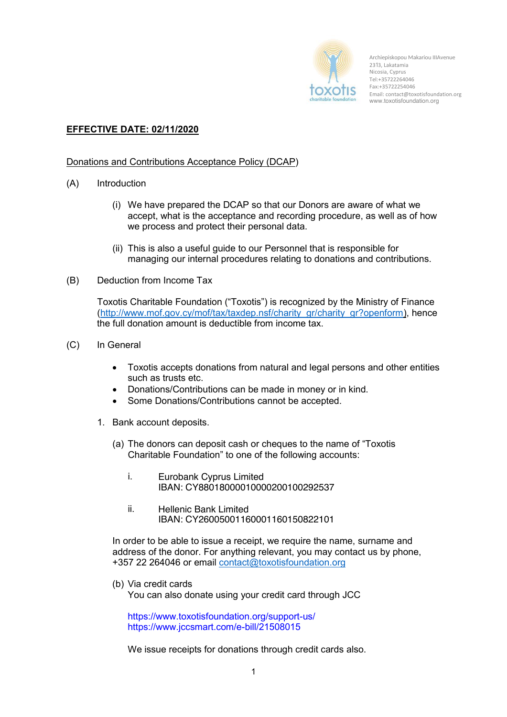

Archiepiskopou Makariou IIIAvenue 233, Lakatamia Nicosia, Cyprus Tel:+35722264046 Fax:+35722254046 Email: contact@toxotisfoundation.org www.toxotisfoundation.org

## **EFFECTIVE DATE: 02/11/2020**

## Donations and Contributions Acceptance Policy (DCAP)

- (A) Introduction
	- (i) We have prepared the DCAP so that our Donors are aware of what we accept, what is the acceptance and recording procedure, as well as of how we process and protect their personal data.
	- (ii) This is also a useful guide to our Personnel that is responsible for managing our internal procedures relating to donations and contributions.
- (B) Deduction from Income Tax

Toxotis Charitable Foundation ("Toxotis") is recognized by the Ministry of Finance (http://www.mof.gov.cy/mof/tax/taxdep.nsf/charity\_gr/charity\_gr?openform), hence the full donation amount is deductible from income tax.

- (C) In General
	- Toxotis accepts donations from natural and legal persons and other entities such as trusts etc.
	- Donations/Contributions can be made in money or in kind.
	- Some Donations/Contributions cannot be accepted.
	- 1. Bank account deposits.
		- (a) The donors can deposit cash or cheques to the name of "Toxotis Charitable Foundation" to one of the following accounts:
			- i. Eurobank Cyprus Limited IBAN: CY88018000010000200100292537
			- ii. Hellenic Bank Limited IBAN: CY26005001160001160150822101

In order to be able to issue a receipt, we require the name, surname and address of the donor. For anything relevant, you may contact us by phone, +357 22 264046 or email contact@toxotisfoundation.org

(b) Via credit cards

You can also donate using your credit card through JCC

https://www.toxotisfoundation.org/support-us/ https://www.jccsmart.com/e-bill/21508015

We issue receipts for donations through credit cards also.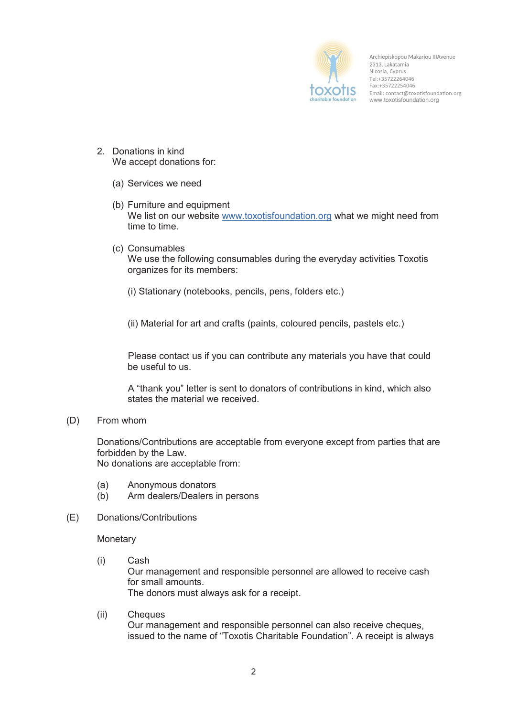

Archiepiskopou Makariou IIIAvenue 2313, Lakatamia Nicosia, Cyprus Tel:+35722264046 Fax:+35722254046 Email: contact@toxotisfoundation.org www.toxotisfoundation.org

- 2. Donations in kind We accept donations for:
	- (a) Services we need
	- (b) Furniture and equipment We list on our website www.toxotisfoundation.org what we might need from time to time.
	- (c) Consumables We use the following consumables during the everyday activities Toxotis organizes for its members:
		- (i) Stationary (notebooks, pencils, pens, folders etc.)

(ii) Material for art and crafts (paints, coloured pencils, pastels etc.)

Please contact us if you can contribute any materials you have that could be useful to us.

A "thank you" letter is sent to donators of contributions in kind, which also states the material we received.

(D) From whom

Donations/Contributions are acceptable from everyone except from parties that are forbidden by the Law. No donations are acceptable from:

- (a) Anonymous donators
- (b) Arm dealers/Dealers in persons
- (E) Donations/Contributions

**Monetary** 

- (i) Cash Our management and responsible personnel are allowed to receive cash for small amounts. The donors must always ask for a receipt.
- (ii) Cheques Our management and responsible personnel can also receive cheques, issued to the name of "Toxotis Charitable Foundation". A receipt is always